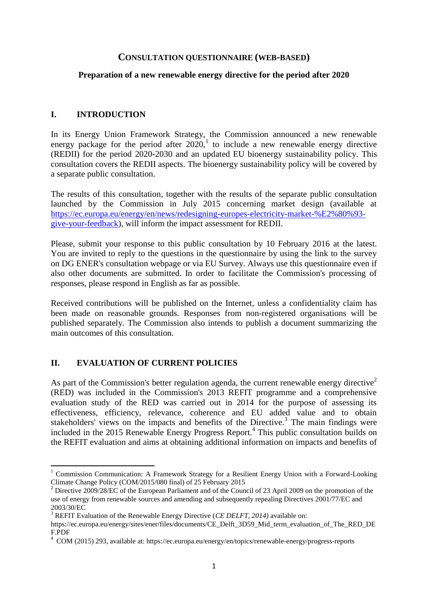#### **CONSULTATION QUESTIONNAIRE (WEB-BASED)**

### **Preparation of a new renewable energy directive for the period after 2020**

### **I. INTRODUCTION**

In its Energy Union Framework Strategy, the Commission announced a new renewable energy package for the period after  $2020$ ,<sup>1</sup> to include a new renewable energy directive (REDII) for the period 2020-2030 and an updated EU bioenergy sustainability policy. This consultation covers the REDII aspects. The bioenergy sustainability policy will be covered by a separate public consultation.

The results of this consultation, together with the results of the separate public consultation launched by the Commission in July 2015 concerning market design (available at [https://ec.europa.eu/energy/en/news/redesigning-europes-electricity-market-%E2%80%93](https://ec.europa.eu/energy/en/news/redesigning-europes-electricity-market-%E2%80%93-give-your-feedback) [give-your-feedback\)](https://ec.europa.eu/energy/en/news/redesigning-europes-electricity-market-%E2%80%93-give-your-feedback), will inform the impact assessment for REDII.

Please, submit your response to this public consultation by 10 February 2016 at the latest. You are invited to reply to the questions in the questionnaire by using the link to the survey on DG ENER's consultation webpage or via EU Survey. Always use this questionnaire even if also other documents are submitted. In order to facilitate the Commission's processing of responses, please respond in English as far as possible.

Received contributions will be published on the Internet, unless a confidentiality claim has been made on reasonable grounds. Responses from non-registered organisations will be published separately. The Commission also intends to publish a document summarizing the main outcomes of this consultation.

## **II. EVALUATION OF CURRENT POLICIES**

 $\overline{a}$ 

As part of the Commission's better regulation agenda, the current renewable energy directive<sup>2</sup> (RED) was included in the Commission's 2013 REFIT programme and a comprehensive evaluation study of the RED was carried out in 2014 for the purpose of assessing its effectiveness, efficiency, relevance, coherence and EU added value and to obtain stakeholders' views on the impacts and benefits of the Directive.<sup>3</sup> The main findings were included in the 2015 Renewable Energy Progress Report.<sup>4</sup> This public consultation builds on the REFIT evaluation and aims at obtaining additional information on impacts and benefits of

<sup>&</sup>lt;sup>1</sup> Commission Communication: A Framework Strategy for a Resilient Energy Union with a Forward-Looking Climate Change Policy (COM/2015/080 final) of 25 February 2015

<sup>&</sup>lt;sup>2</sup> Directive 2009/28/EC of the European Parliament and of the Council of 23 April 2009 on the promotion of the use of energy from renewable sources and amending and subsequently repealing Directives 2001/77/EC and 2003/30/EC

<sup>3</sup> REFIT Evaluation of the Renewable Energy Directive (*CE DELFT, 2014)* available on:

https://ec.europa.eu/energy/sites/ener/files/documents/CE\_Delft\_3D59\_Mid\_term\_evaluation\_of\_The\_RED\_DE F.PDF

<sup>4</sup> COM (2015) 293, available at: https://ec.europa.eu/energy/en/topics/renewable-energy/progress-reports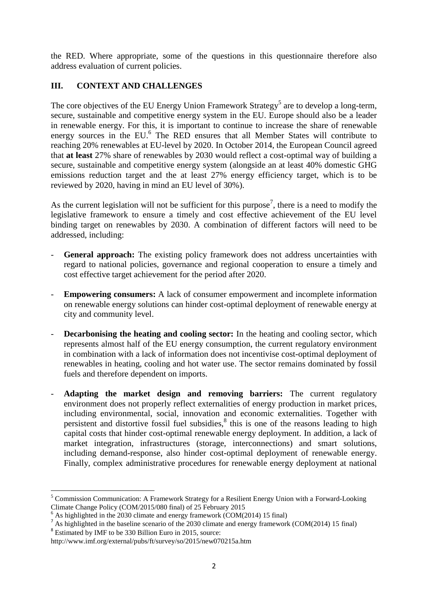the RED. Where appropriate, some of the questions in this questionnaire therefore also address evaluation of current policies.

# **III. CONTEXT AND CHALLENGES**

The core objectives of the EU Energy Union Framework Strategy<sup>5</sup> are to develop a long-term, secure, sustainable and competitive energy system in the EU. Europe should also be a leader in renewable energy. For this, it is important to continue to increase the share of renewable energy sources in the EU.<sup>6</sup> The RED ensures that all Member States will contribute to reaching 20% renewables at EU-level by 2020. In October 2014, the European Council agreed that **at least** 27% share of renewables by 2030 would reflect a cost-optimal way of building a secure, sustainable and competitive energy system (alongside an at least 40% domestic GHG emissions reduction target and the at least 27% energy efficiency target, which is to be reviewed by 2020, having in mind an EU level of 30%).

As the current legislation will not be sufficient for this purpose<sup>7</sup>, there is a need to modify the legislative framework to ensure a timely and cost effective achievement of the EU level binding target on renewables by 2030. A combination of different factors will need to be addressed, including:

- General approach: The existing policy framework does not address uncertainties with regard to national policies, governance and regional cooperation to ensure a timely and cost effective target achievement for the period after 2020.
- **Empowering consumers:** A lack of consumer empowerment and incomplete information on renewable energy solutions can hinder cost-optimal deployment of renewable energy at city and community level.
- **Decarbonising the heating and cooling sector:** In the heating and cooling sector, which represents almost half of the EU energy consumption, the current regulatory environment in combination with a lack of information does not incentivise cost-optimal deployment of renewables in heating, cooling and hot water use. The sector remains dominated by fossil fuels and therefore dependent on imports.
- Adapting the market design and removing barriers: The current regulatory environment does not properly reflect externalities of energy production in market prices, including environmental, social, innovation and economic externalities. Together with persistent and distortive fossil fuel subsidies, $<sup>8</sup>$  this is one of the reasons leading to high</sup> capital costs that hinder cost-optimal renewable energy deployment. In addition, a lack of market integration, infrastructures (storage, interconnections) and smart solutions, including demand-response, also hinder cost-optimal deployment of renewable energy. Finally, complex administrative procedures for renewable energy deployment at national

**<sup>.</sup>** <sup>5</sup> Commission Communication: A Framework Strategy for a Resilient Energy Union with a Forward-Looking Climate Change Policy (COM/2015/080 final) of 25 February 2015

 $6$  As highlighted in the 2030 climate and energy framework (COM(2014) 15 final)

<sup>&</sup>lt;sup>7</sup> As highlighted in the baseline scenario of the 2030 climate and energy framework (COM(2014) 15 final)

<sup>&</sup>lt;sup>8</sup> Estimated by IMF to be 330 Billion Euro in 2015, source:

http://www.imf.org/external/pubs/ft/survey/so/2015/new070215a.htm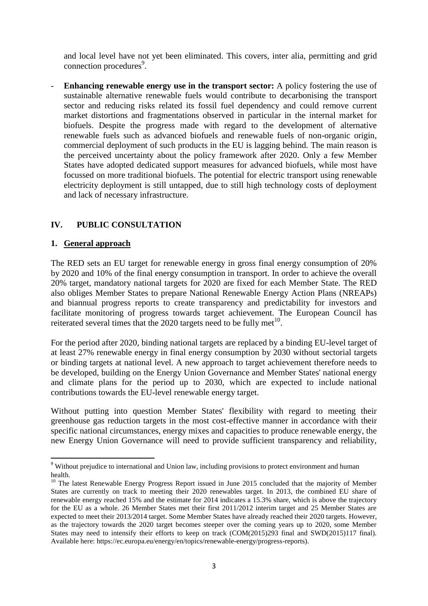and local level have not yet been eliminated. This covers, inter alia, permitting and grid connection procedures<sup>9</sup>.

**Enhancing renewable energy use in the transport sector:** A policy fostering the use of sustainable alternative renewable fuels would contribute to decarbonising the transport sector and reducing risks related its fossil fuel dependency and could remove current market distortions and fragmentations observed in particular in the internal market for biofuels. Despite the progress made with regard to the development of alternative renewable fuels such as advanced biofuels and renewable fuels of non-organic origin, commercial deployment of such products in the EU is lagging behind. The main reason is the perceived uncertainty about the policy framework after 2020. Only a few Member States have adopted dedicated support measures for advanced biofuels, while most have focussed on more traditional biofuels. The potential for electric transport using renewable electricity deployment is still untapped, due to still high technology costs of deployment and lack of necessary infrastructure.

# **IV. PUBLIC CONSULTATION**

### **1. General approach**

**.** 

The RED sets an EU target for renewable energy in gross final energy consumption of 20% by 2020 and 10% of the final energy consumption in transport. In order to achieve the overall 20% target, mandatory national targets for 2020 are fixed for each Member State. The RED also obliges Member States to prepare National Renewable Energy Action Plans (NREAPs) and biannual progress reports to create transparency and predictability for investors and facilitate monitoring of progress towards target achievement. The European Council has reiterated several times that the 2020 targets need to be fully met $10$ .

For the period after 2020, binding national targets are replaced by a binding EU-level target of at least 27% renewable energy in final energy consumption by 2030 without sectorial targets or binding targets at national level. A new approach to target achievement therefore needs to be developed, building on the Energy Union Governance and Member States' national energy and climate plans for the period up to 2030, which are expected to include national contributions towards the EU-level renewable energy target.

Without putting into question Member States' flexibility with regard to meeting their greenhouse gas reduction targets in the most cost-effective manner in accordance with their specific national circumstances, energy mixes and capacities to produce renewable energy, the new Energy Union Governance will need to provide sufficient transparency and reliability,

<sup>&</sup>lt;sup>9</sup> Without prejudice to international and Union law, including provisions to protect environment and human health.

 $10$  The latest Renewable Energy Progress Report issued in June 2015 concluded that the majority of Member States are currently on track to meeting their 2020 renewables target. In 2013, the combined EU share of renewable energy reached 15% and the estimate for 2014 indicates a 15.3% share, which is above the trajectory for the EU as a whole. 26 Member States met their first 2011/2012 interim target and 25 Member States are expected to meet their 2013/2014 target. Some Member States have already reached their 2020 targets. However, as the trajectory towards the 2020 target becomes steeper over the coming years up to 2020, some Member States may need to intensify their efforts to keep on track (COM(2015)293 final and SWD(2015)117 final). Available here: https://ec.europa.eu/energy/en/topics/renewable-energy/progress-reports).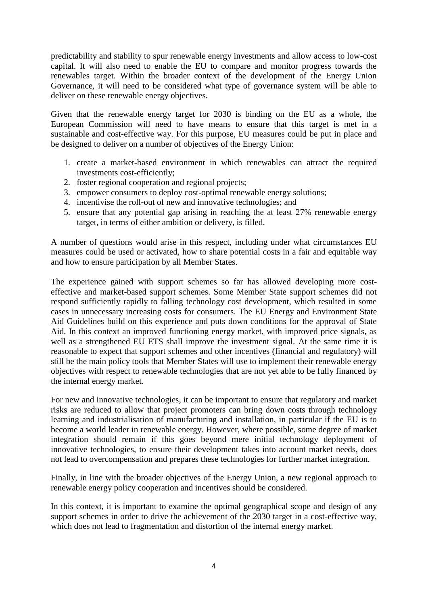predictability and stability to spur renewable energy investments and allow access to low-cost capital. It will also need to enable the EU to compare and monitor progress towards the renewables target. Within the broader context of the development of the Energy Union Governance, it will need to be considered what type of governance system will be able to deliver on these renewable energy objectives.

Given that the renewable energy target for 2030 is binding on the EU as a whole, the European Commission will need to have means to ensure that this target is met in a sustainable and cost-effective way. For this purpose, EU measures could be put in place and be designed to deliver on a number of objectives of the Energy Union:

- 1. create a market-based environment in which renewables can attract the required investments cost-efficiently;
- 2. foster regional cooperation and regional projects;
- 3. empower consumers to deploy cost-optimal renewable energy solutions;
- 4. incentivise the roll-out of new and innovative technologies; and
- 5. ensure that any potential gap arising in reaching the at least 27% renewable energy target, in terms of either ambition or delivery, is filled.

A number of questions would arise in this respect, including under what circumstances EU measures could be used or activated, how to share potential costs in a fair and equitable way and how to ensure participation by all Member States.

The experience gained with support schemes so far has allowed developing more costeffective and market-based support schemes. Some Member State support schemes did not respond sufficiently rapidly to falling technology cost development, which resulted in some cases in unnecessary increasing costs for consumers. The EU Energy and Environment State Aid Guidelines build on this experience and puts down conditions for the approval of State Aid. In this context an improved functioning energy market, with improved price signals, as well as a strengthened EU ETS shall improve the investment signal. At the same time it is reasonable to expect that support schemes and other incentives (financial and regulatory) will still be the main policy tools that Member States will use to implement their renewable energy objectives with respect to renewable technologies that are not yet able to be fully financed by the internal energy market.

For new and innovative technologies, it can be important to ensure that regulatory and market risks are reduced to allow that project promoters can bring down costs through technology learning and industrialisation of manufacturing and installation, in particular if the EU is to become a world leader in renewable energy. However, where possible, some degree of market integration should remain if this goes beyond mere initial technology deployment of innovative technologies, to ensure their development takes into account market needs, does not lead to overcompensation and prepares these technologies for further market integration.

Finally, in line with the broader objectives of the Energy Union, a new regional approach to renewable energy policy cooperation and incentives should be considered.

In this context, it is important to examine the optimal geographical scope and design of any support schemes in order to drive the achievement of the 2030 target in a cost-effective way, which does not lead to fragmentation and distortion of the internal energy market.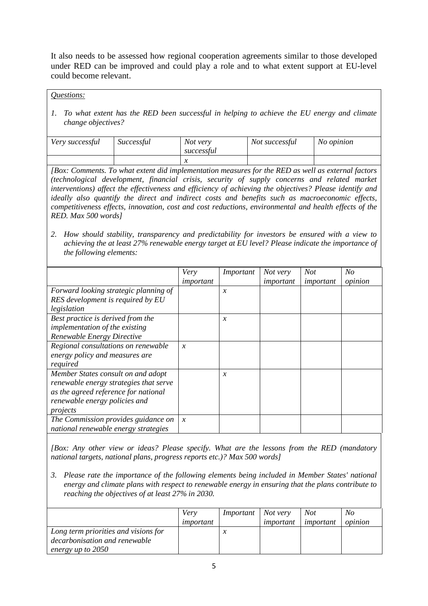It also needs to be assessed how regional cooperation agreements similar to those developed under RED can be improved and could play a role and to what extent support at EU-level could become relevant.

*Questions:*

*1. To what extent has the RED been successful in helping to achieve the EU energy and climate change objectives?*

| Very successful | Successful | Not very<br>successful | Not successful | No opinion |
|-----------------|------------|------------------------|----------------|------------|
|                 |            |                        |                |            |

*[Box: Comments. To what extent did implementation measures for the RED as well as external factors (technological development, financial crisis, security of supply concerns and related market interventions) affect the effectiveness and efficiency of achieving the objectives? Please identify and ideally also quantify the direct and indirect costs and benefits such as macroeconomic effects, competitiveness effects, innovation, cost and cost reductions, environmental and health effects of the RED. Max 500 words]*

*2. How should stability, transparency and predictability for investors be ensured with a view to achieving the at least 27% renewable energy target at EU level? Please indicate the importance of the following elements:* 

|                                        | Very                | Important     | Not very  | <b>Not</b> | No      |
|----------------------------------------|---------------------|---------------|-----------|------------|---------|
|                                        | important           |               | important | important  | opinion |
| Forward looking strategic planning of  |                     | $\mathcal{X}$ |           |            |         |
| RES development is required by EU      |                     |               |           |            |         |
| legislation                            |                     |               |           |            |         |
| Best practice is derived from the      |                     | $\mathcal{X}$ |           |            |         |
| <i>implementation of the existing</i>  |                     |               |           |            |         |
| Renewable Energy Directive             |                     |               |           |            |         |
| Regional consultations on renewable    | $\boldsymbol{\chi}$ |               |           |            |         |
| energy policy and measures are         |                     |               |           |            |         |
| required                               |                     |               |           |            |         |
| Member States consult on and adopt     |                     | $\mathcal{X}$ |           |            |         |
| renewable energy strategies that serve |                     |               |           |            |         |
| as the agreed reference for national   |                     |               |           |            |         |
| renewable energy policies and          |                     |               |           |            |         |
| projects                               |                     |               |           |            |         |
| The Commission provides guidance on    | $\boldsymbol{\chi}$ |               |           |            |         |
| national renewable energy strategies   |                     |               |           |            |         |

*[Box: Any other view or ideas? Please specify. What are the lessons from the RED (mandatory national targets, national plans, progress reports etc.)? Max 500 words]* 

*3. Please rate the importance of the following elements being included in Member States' national energy and climate plans with respect to renewable energy in ensuring that the plans contribute to reaching the objectives of at least 27% in 2030.*

|                                      | Very<br>important | $Important$ Not very | important | Not<br>important | No<br>opinion |
|--------------------------------------|-------------------|----------------------|-----------|------------------|---------------|
| Long term priorities and visions for |                   |                      |           |                  |               |
| decarbonisation and renewable        |                   |                      |           |                  |               |
| energy up to 2050                    |                   |                      |           |                  |               |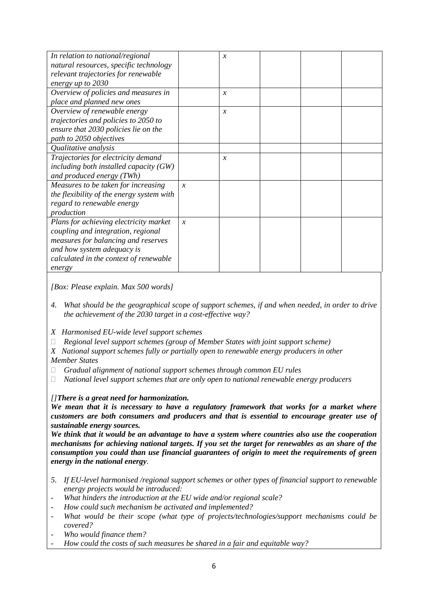| In relation to national/regional          |                     | $\mathcal{X}$       |  |  |
|-------------------------------------------|---------------------|---------------------|--|--|
| natural resources, specific technology    |                     |                     |  |  |
| relevant trajectories for renewable       |                     |                     |  |  |
| energy up to 2030                         |                     |                     |  |  |
| Overview of policies and measures in      |                     | $\mathcal{X}$       |  |  |
| place and planned new ones                |                     |                     |  |  |
| Overview of renewable energy              |                     | $\boldsymbol{\chi}$ |  |  |
| trajectories and policies to 2050 to      |                     |                     |  |  |
| ensure that 2030 policies lie on the      |                     |                     |  |  |
| path to 2050 objectives                   |                     |                     |  |  |
| Qualitative analysis                      |                     |                     |  |  |
| Trajectories for electricity demand       |                     | $\mathcal{X}$       |  |  |
| including both installed capacity $(GW)$  |                     |                     |  |  |
| and produced energy (TWh)                 |                     |                     |  |  |
| Measures to be taken for increasing       | $\boldsymbol{\chi}$ |                     |  |  |
| the flexibility of the energy system with |                     |                     |  |  |
| regard to renewable energy                |                     |                     |  |  |
| production                                |                     |                     |  |  |
| Plans for achieving electricity market    | $\mathcal{X}$       |                     |  |  |
| coupling and integration, regional        |                     |                     |  |  |
| measures for balancing and reserves       |                     |                     |  |  |
| and how system adequacy is                |                     |                     |  |  |
| calculated in the context of renewable    |                     |                     |  |  |
| energy                                    |                     |                     |  |  |

*[Box: Please explain. Max 500 words]* 

- *4. What should be the geographical scope of support schemes, if and when needed, in order to drive the achievement of the 2030 target in a cost-effective way?*
- *X Harmonised EU-wide level support schemes*
- *Regional level support schemes (group of Member States with joint support scheme)*
- *X National support schemes fully or partially open to renewable energy producers in other Member States*
- *Gradual alignment of national support schemes through common EU rules*
- *National level support schemes that are only open to national renewable energy producers*

#### *[]There is a great need for harmonization.*

*We mean that it is necessary to have a regulatory framework that works for a market where customers are both consumers and producers and that is essential to encourage greater use of sustainable energy sources.*

*We think that it would be an advantage to have a system where countries also use the cooperation mechanisms for achieving national targets. If you set the target for renewables as an share of the consumption you could than use financial guarantees of origin to meet the requirements of green energy in the national energy.*

- *5. If EU-level harmonised /regional support schemes or other types of financial support to renewable energy projects would be introduced:*
- *What hinders the introduction at the EU wide and/or regional scale?*
- *How could such mechanism be activated and implemented?*
- *What would be their scope (what type of projects/technologies/support mechanisms could be covered?*
- *Who would finance them?*
- *How could the costs of such measures be shared in a fair and equitable way?*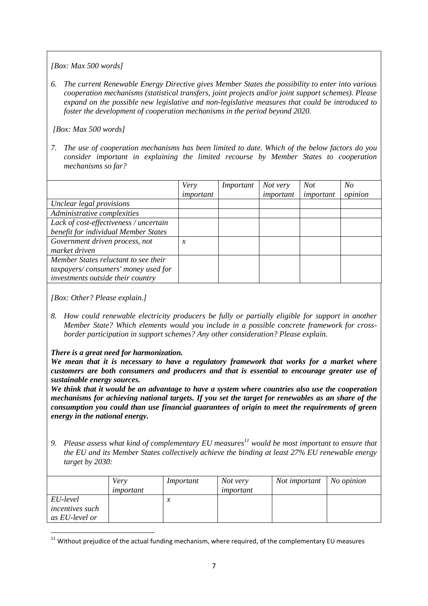*[Box: Max 500 words]*

*6. The current Renewable Energy Directive gives Member States the possibility to enter into various cooperation mechanisms (statistical transfers, joint projects and/or joint support schemes). Please expand on the possible new legislative and non-legislative measures that could be introduced to foster the development of cooperation mechanisms in the period beyond 2020.* 

#### *[Box: Max 500 words]*

*7. The use of cooperation mechanisms has been limited to date. Which of the below factors do you consider important in explaining the limited recourse by Member States to cooperation mechanisms so far?* 

|                                        | Very                | Important | Not very  | <b>Not</b> | No      |
|----------------------------------------|---------------------|-----------|-----------|------------|---------|
|                                        | important           |           | important | important  | opinion |
| Unclear legal provisions               |                     |           |           |            |         |
| Administrative complexities            |                     |           |           |            |         |
| Lack of cost-effectiveness / uncertain |                     |           |           |            |         |
| benefit for individual Member States   |                     |           |           |            |         |
| Government driven process, not         | $\boldsymbol{\chi}$ |           |           |            |         |
| market driven                          |                     |           |           |            |         |
| Member States reluctant to see their   |                     |           |           |            |         |
| taxpayers/consumers' money used for    |                     |           |           |            |         |
| investments outside their country      |                     |           |           |            |         |

*[Box: Other? Please explain.]*

*8. How could renewable electricity producers be fully or partially eligible for support in another Member State? Which elements would you include in a possible concrete framework for crossborder participation in support schemes? Any other consideration? Please explain.*

## *There is a great need for harmonization.*

*We mean that it is necessary to have a regulatory framework that works for a market where customers are both consumers and producers and that is essential to encourage greater use of sustainable energy sources.*

*We think that it would be an advantage to have a system where countries also use the cooperation mechanisms for achieving national targets. If you set the target for renewables as an share of the consumption you could than use financial guarantees of origin to meet the requirements of green energy in the national energy.*

*9. Please assess what kind of complementary EU measures<sup>11</sup> would be most important to ensure that the EU and its Member States collectively achieve the binding at least 27% EU renewable energy target by 2030:* 

|                                                      | Very<br>important | Important                  | Not very<br>important | <i>Not important</i>   <i>No opinion</i> |  |
|------------------------------------------------------|-------------------|----------------------------|-----------------------|------------------------------------------|--|
| EU-level<br><i>incentives such</i><br>as EU-level or |                   | $\boldsymbol{\mathcal{N}}$ |                       |                                          |  |

**<sup>.</sup>**  $11$  Without prejudice of the actual funding mechanism, where required, of the complementary EU measures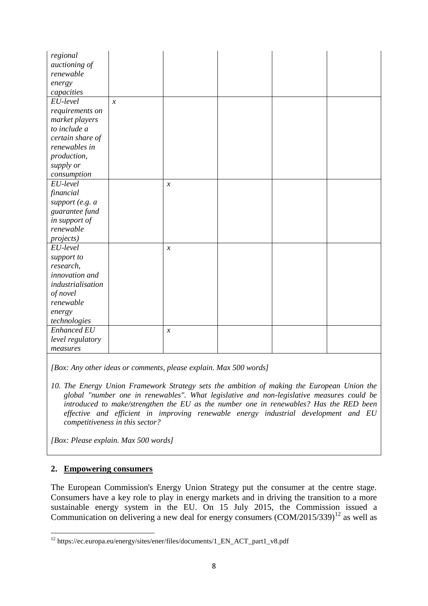| regional                               |  |
|----------------------------------------|--|
| auctioning of                          |  |
| renewable                              |  |
| energy                                 |  |
| capacities                             |  |
| EU-level<br>$\mathcal{X}$              |  |
| requirements on                        |  |
| market players                         |  |
| to include a                           |  |
| certain share of                       |  |
| renewables in                          |  |
| production,                            |  |
| supply or                              |  |
| consumption                            |  |
| EU-level<br>$\boldsymbol{\mathcal{X}}$ |  |
| financial                              |  |
| support (e.g. a                        |  |
| guarantee fund                         |  |
| in support of                          |  |
| renewable                              |  |
| <i>projects</i> )                      |  |
| EU-level<br>$\boldsymbol{x}$           |  |
| support to                             |  |
| research,                              |  |
| innovation and                         |  |
| industrialisation                      |  |
| of novel                               |  |
| renewable                              |  |
| energy                                 |  |
| technologies                           |  |
| Enhanced EU<br>$\mathcal{X}$           |  |
| level regulatory                       |  |
| measures                               |  |

*[Box: Any other ideas or comments, please explain. Max 500 words]* 

*10. The Energy Union Framework Strategy sets the ambition of making the European Union the global "number one in renewables". What legislative and non-legislative measures could be introduced to make/strengthen the EU as the number one in renewables? Has the RED been effective and efficient in improving renewable energy industrial development and EU competitiveness in this sector?*

*[Box: Please explain. Max 500 words]* 

## **2. Empowering consumers**

The European Commission's Energy Union Strategy put the consumer at the centre stage. Consumers have a key role to play in energy markets and in driving the transition to a more sustainable energy system in the EU. On 15 July 2015, the Commission issued a Communication on delivering a new deal for energy consumers  $(COM/2015/339)^{12}$  as well as

**<sup>.</sup>** <sup>12</sup> https://ec.europa.eu/energy/sites/ener/files/documents/1\_EN\_ACT\_part1\_v8.pdf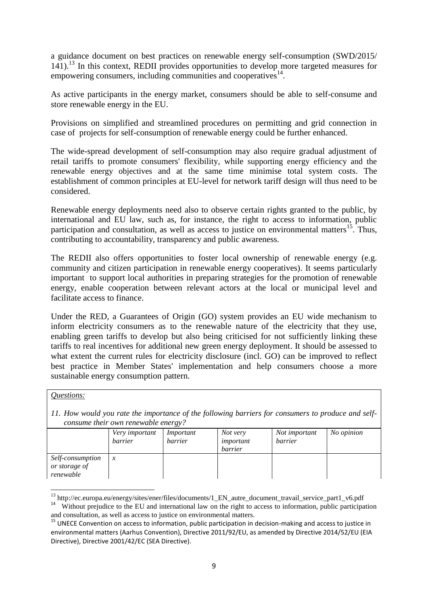a guidance document on best practices on renewable energy self-consumption (SWD/2015/ 141). <sup>13</sup> In this context, REDII provides opportunities to develop more targeted measures for empowering consumers, including communities and cooperatives<sup>14</sup>.

As active participants in the energy market, consumers should be able to self-consume and store renewable energy in the EU.

Provisions on simplified and streamlined procedures on permitting and grid connection in case of projects for self-consumption of renewable energy could be further enhanced.

The wide-spread development of self-consumption may also require gradual adjustment of retail tariffs to promote consumers' flexibility, while supporting energy efficiency and the renewable energy objectives and at the same time minimise total system costs. The establishment of common principles at EU-level for network tariff design will thus need to be considered.

Renewable energy deployments need also to observe certain rights granted to the public, by international and EU law, such as, for instance, the right to access to information, public participation and consultation, as well as access to justice on environmental matters<sup>15</sup>. Thus, contributing to accountability, transparency and public awareness.

The REDII also offers opportunities to foster local ownership of renewable energy (e.g. community and citizen participation in renewable energy cooperatives). It seems particularly important to support local authorities in preparing strategies for the promotion of renewable energy, enable cooperation between relevant actors at the local or municipal level and facilitate access to finance.

Under the RED, a Guarantees of Origin (GO) system provides an EU wide mechanism to inform electricity consumers as to the renewable nature of the electricity that they use, enabling green tariffs to develop but also being criticised for not sufficiently linking these tariffs to real incentives for additional new green energy deployment. It should be assessed to what extent the current rules for electricity disclosure (incl. GO) can be improved to reflect best practice in Member States' implementation and help consumers choose a more sustainable energy consumption pattern.

#### *Questions:*

*11. How would you rate the importance of the following barriers for consumers to produce and selfconsume their own renewable energy?*

|                                                | Very important<br>barrier | $\cdot$<br>Important<br>barrier | Not very<br>important<br>barrier | Not important<br>barrier | No opinion |
|------------------------------------------------|---------------------------|---------------------------------|----------------------------------|--------------------------|------------|
| Self-consumption<br>or storage of<br>renewable | $\boldsymbol{\chi}$       |                                 |                                  |                          |            |

**<sup>.</sup>** <sup>13</sup> http://ec.europa.eu/energy/sites/ener/files/documents/1\_EN\_autre\_document\_travail\_service\_part1\_v6.pdf

<sup>&</sup>lt;sup>14</sup> Without prejudice to the EU and international law on the right to access to information, public participation and consultation, as well as access to justice on environmental matters.

<sup>&</sup>lt;sup>15</sup> UNECE Convention on access to information, public participation in decision-making and access to justice in environmental matters (Aarhus Convention), Directive 2011/92/EU, as amended by Directive 2014/52/EU (EIA Directive), Directive 2001/42/EC (SEA Directive).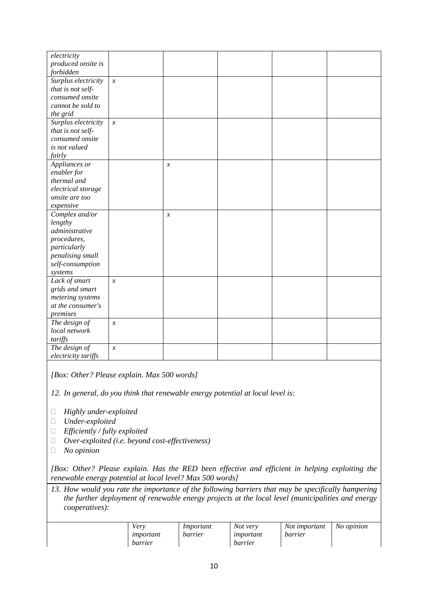| electricity         |                            |                            |  |  |
|---------------------|----------------------------|----------------------------|--|--|
| produced onsite is  |                            |                            |  |  |
| forbidden           |                            |                            |  |  |
| Surplus electricity | $\boldsymbol{\mathcal{X}}$ |                            |  |  |
| that is not self-   |                            |                            |  |  |
| consumed onsite     |                            |                            |  |  |
| cannot be sold to   |                            |                            |  |  |
| the grid            |                            |                            |  |  |
| Surplus electricity | $\boldsymbol{x}$           |                            |  |  |
| that is not self-   |                            |                            |  |  |
| consumed onsite     |                            |                            |  |  |
| is not valued       |                            |                            |  |  |
| fairly              |                            |                            |  |  |
| Appliances or       |                            | $\boldsymbol{\mathcal{X}}$ |  |  |
| enabler for         |                            |                            |  |  |
| thermal and         |                            |                            |  |  |
| electrical storage  |                            |                            |  |  |
| onsite are too      |                            |                            |  |  |
| expensive           |                            |                            |  |  |
| Complex and/or      |                            | $\mathcal{X}$              |  |  |
| lengthy             |                            |                            |  |  |
| administrative      |                            |                            |  |  |
| procedures,         |                            |                            |  |  |
| particularly        |                            |                            |  |  |
| penalising small    |                            |                            |  |  |
| self-consumption    |                            |                            |  |  |
| systems             |                            |                            |  |  |
| Lack of smart       | $\mathcal{X}$              |                            |  |  |
| grids and smart     |                            |                            |  |  |
| metering systems    |                            |                            |  |  |
| at the consumer's   |                            |                            |  |  |
| premises            |                            |                            |  |  |
| The design of       | $\boldsymbol{x}$           |                            |  |  |
| local network       |                            |                            |  |  |
| tariffs             |                            |                            |  |  |
| The design of       | $\boldsymbol{x}$           |                            |  |  |
| electricity tariffs |                            |                            |  |  |

*[Box: Other? Please explain. Max 500 words]*

*12. In general, do you think that renewable energy potential at local level is:*

- *Highly under-exploited*
- *Under-exploited*
- *Efficiently / fully exploited*
- *Over-exploited (i.e. beyond cost-effectiveness)*
- *No opinion*

*[Box: Other? Please explain. Has the RED been effective and efficient in helping exploiting the renewable energy potential at local level? Max 500 words]*

*13. How would you rate the importance of the following barriers that may be specifically hampering the further deployment of renewable energy projects at the local level (municipalities and energy cooperatives):*

| Verv<br>important<br>barrier | Important<br>barrier | Not very<br>important<br>barrier | Not important<br>barrier | No opinion |
|------------------------------|----------------------|----------------------------------|--------------------------|------------|
|------------------------------|----------------------|----------------------------------|--------------------------|------------|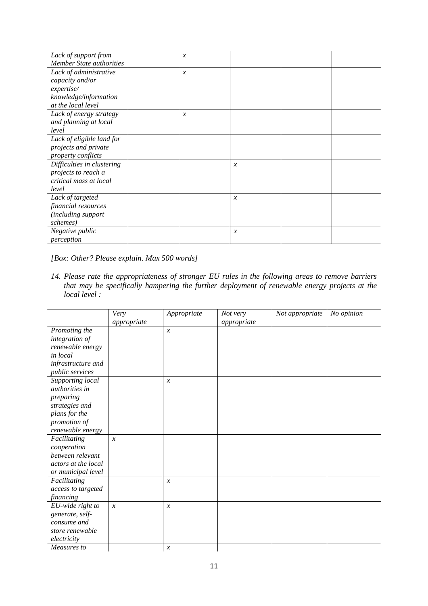| Lack of support from            | $\boldsymbol{\chi}$ |                  |  |
|---------------------------------|---------------------|------------------|--|
| <b>Member State authorities</b> |                     |                  |  |
| Lack of administrative          | $\boldsymbol{\chi}$ |                  |  |
| capacity and/or                 |                     |                  |  |
| expertise/                      |                     |                  |  |
| knowledge/information           |                     |                  |  |
| at the local level              |                     |                  |  |
| Lack of energy strategy         | $\boldsymbol{\chi}$ |                  |  |
| and planning at local           |                     |                  |  |
| level                           |                     |                  |  |
| Lack of eligible land for       |                     |                  |  |
| projects and private            |                     |                  |  |
| property conflicts              |                     |                  |  |
| Difficulties in clustering      |                     | $\mathcal{X}$    |  |
| projects to reach a             |                     |                  |  |
| critical mass at local          |                     |                  |  |
| level                           |                     |                  |  |
| Lack of targeted                |                     | $\boldsymbol{x}$ |  |
| financial resources             |                     |                  |  |
| (including support              |                     |                  |  |
| schemes)                        |                     |                  |  |
| Negative public                 |                     | $\boldsymbol{x}$ |  |
| perception                      |                     |                  |  |

*[Box: Other? Please explain. Max 500 words]*

*14. Please rate the appropriateness of stronger EU rules in the following areas to remove barriers that may be specifically hampering the further deployment of renewable energy projects at the local level :*

|                     | Very<br>appropriate        | Appropriate                | Not very<br>appropriate | Not appropriate | No opinion |
|---------------------|----------------------------|----------------------------|-------------------------|-----------------|------------|
| Promoting the       |                            | $\boldsymbol{\mathcal{X}}$ |                         |                 |            |
| integration of      |                            |                            |                         |                 |            |
| renewable energy    |                            |                            |                         |                 |            |
| in local            |                            |                            |                         |                 |            |
| infrastructure and  |                            |                            |                         |                 |            |
| public services     |                            |                            |                         |                 |            |
| Supporting local    |                            | $\mathcal{X}$              |                         |                 |            |
| authorities in      |                            |                            |                         |                 |            |
| preparing           |                            |                            |                         |                 |            |
| strategies and      |                            |                            |                         |                 |            |
| plans for the       |                            |                            |                         |                 |            |
| promotion of        |                            |                            |                         |                 |            |
| renewable energy    |                            |                            |                         |                 |            |
| Facilitating        | $\mathcal{X}$              |                            |                         |                 |            |
| cooperation         |                            |                            |                         |                 |            |
| between relevant    |                            |                            |                         |                 |            |
| actors at the local |                            |                            |                         |                 |            |
| or municipal level  |                            |                            |                         |                 |            |
| Facilitating        |                            | $\boldsymbol{\mathcal{X}}$ |                         |                 |            |
| access to targeted  |                            |                            |                         |                 |            |
| financing           |                            |                            |                         |                 |            |
| EU-wide right to    | $\boldsymbol{\mathcal{X}}$ | $\mathcal{X}$              |                         |                 |            |
| generate, self-     |                            |                            |                         |                 |            |
| consume and         |                            |                            |                         |                 |            |
| store renewable     |                            |                            |                         |                 |            |
| electricity         |                            |                            |                         |                 |            |
| Measures to         |                            | $\boldsymbol{\mathcal{X}}$ |                         |                 |            |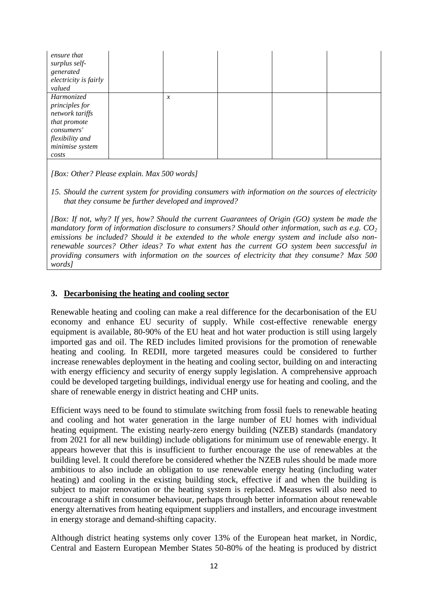| ensure that<br>surplus self-<br>generated<br>electricity is fairly<br>valued                                                 |               |  |  |
|------------------------------------------------------------------------------------------------------------------------------|---------------|--|--|
| Harmonized<br>principles for<br>network tariffs<br>that promote<br>consumers'<br>flexibility and<br>minimise system<br>costs | $\mathcal{X}$ |  |  |

*[Box: Other? Please explain. Max 500 words]*

*15. Should the current system for providing consumers with information on the sources of electricity that they consume be further developed and improved?* 

*[Box: If not, why? If yes, how? Should the current Guarantees of Origin (GO) system be made the mandatory form of information disclosure to consumers? Should other information, such as e.g. CO<sup>2</sup> emissions be included? Should it be extended to the whole energy system and include also nonrenewable sources? Other ideas? To what extent has the current GO system been successful in providing consumers with information on the sources of electricity that they consume? Max 500 words]*

### **3. Decarbonising the heating and cooling sector**

Renewable heating and cooling can make a real difference for the decarbonisation of the EU economy and enhance EU security of supply. While cost-effective renewable energy equipment is available, 80-90% of the EU heat and hot water production is still using largely imported gas and oil. The RED includes limited provisions for the promotion of renewable heating and cooling. In REDII, more targeted measures could be considered to further increase renewables deployment in the heating and cooling sector, building on and interacting with energy efficiency and security of energy supply legislation. A comprehensive approach could be developed targeting buildings, individual energy use for heating and cooling, and the share of renewable energy in district heating and CHP units.

Efficient ways need to be found to stimulate switching from fossil fuels to renewable heating and cooling and hot water generation in the large number of EU homes with individual heating equipment. The existing nearly-zero energy building (NZEB) standards (mandatory from 2021 for all new building) include obligations for minimum use of renewable energy. It appears however that this is insufficient to further encourage the use of renewables at the building level. It could therefore be considered whether the NZEB rules should be made more ambitious to also include an obligation to use renewable energy heating (including water heating) and cooling in the existing building stock, effective if and when the building is subject to major renovation or the heating system is replaced. Measures will also need to encourage a shift in consumer behaviour, perhaps through better information about renewable energy alternatives from heating equipment suppliers and installers, and encourage investment in energy storage and demand-shifting capacity.

Although district heating systems only cover 13% of the European heat market, in Nordic, Central and Eastern European Member States 50-80% of the heating is produced by district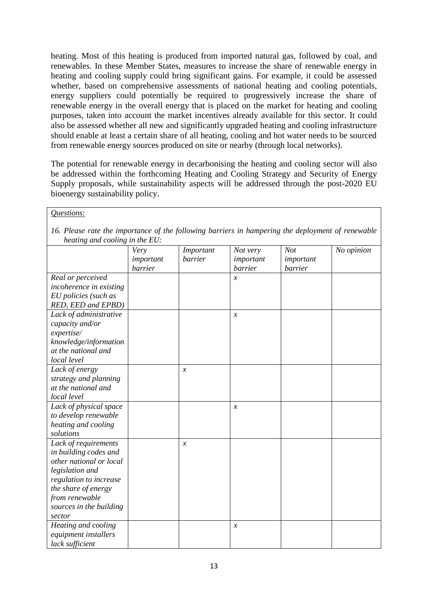heating. Most of this heating is produced from imported natural gas, followed by coal, and renewables. In these Member States, measures to increase the share of renewable energy in heating and cooling supply could bring significant gains. For example, it could be assessed whether, based on comprehensive assessments of national heating and cooling potentials, energy suppliers could potentially be required to progressively increase the share of renewable energy in the overall energy that is placed on the market for heating and cooling purposes, taken into account the market incentives already available for this sector. It could also be assessed whether all new and significantly upgraded heating and cooling infrastructure should enable at least a certain share of all heating, cooling and hot water needs to be sourced from renewable energy sources produced on site or nearby (through local networks).

The potential for renewable energy in decarbonising the heating and cooling sector will also be addressed within the forthcoming Heating and Cooling Strategy and Security of Energy Supply proposals, while sustainability aspects will be addressed through the post-2020 EU bioenergy sustainability policy.

| Questions:                                                                                        |                              |                      |                                  |                             |            |  |  |  |
|---------------------------------------------------------------------------------------------------|------------------------------|----------------------|----------------------------------|-----------------------------|------------|--|--|--|
| 16. Please rate the importance of the following barriers in hampering the deployment of renewable |                              |                      |                                  |                             |            |  |  |  |
| heating and cooling in the EU:                                                                    |                              |                      |                                  |                             |            |  |  |  |
|                                                                                                   | Very<br>important<br>barrier | Important<br>barrier | Not very<br>important<br>barrier | Not<br>important<br>barrier | No opinion |  |  |  |
| Real or perceived                                                                                 |                              |                      | $\mathcal{X}$                    |                             |            |  |  |  |
| incoherence in existing                                                                           |                              |                      |                                  |                             |            |  |  |  |
| EU policies (such as                                                                              |                              |                      |                                  |                             |            |  |  |  |
| RED, EED and EPBD)                                                                                |                              |                      |                                  |                             |            |  |  |  |
| Lack of administrative                                                                            |                              |                      | $\mathcal{X}$                    |                             |            |  |  |  |
| capacity and/or                                                                                   |                              |                      |                                  |                             |            |  |  |  |
| expertise/                                                                                        |                              |                      |                                  |                             |            |  |  |  |
| knowledge/information                                                                             |                              |                      |                                  |                             |            |  |  |  |
| at the national and                                                                               |                              |                      |                                  |                             |            |  |  |  |
| local level                                                                                       |                              |                      |                                  |                             |            |  |  |  |
| Lack of energy                                                                                    |                              | $\boldsymbol{\chi}$  |                                  |                             |            |  |  |  |
| strategy and planning                                                                             |                              |                      |                                  |                             |            |  |  |  |
| at the national and                                                                               |                              |                      |                                  |                             |            |  |  |  |
| local level                                                                                       |                              |                      |                                  |                             |            |  |  |  |
| Lack of physical space                                                                            |                              |                      | $\boldsymbol{\chi}$              |                             |            |  |  |  |
| to develop renewable                                                                              |                              |                      |                                  |                             |            |  |  |  |
| heating and cooling                                                                               |                              |                      |                                  |                             |            |  |  |  |
| solutions                                                                                         |                              |                      |                                  |                             |            |  |  |  |
| Lack of requirements                                                                              |                              | $\boldsymbol{\chi}$  |                                  |                             |            |  |  |  |
| in building codes and                                                                             |                              |                      |                                  |                             |            |  |  |  |
| other national or local                                                                           |                              |                      |                                  |                             |            |  |  |  |
| legislation and                                                                                   |                              |                      |                                  |                             |            |  |  |  |
| regulation to increase                                                                            |                              |                      |                                  |                             |            |  |  |  |
| the share of energy                                                                               |                              |                      |                                  |                             |            |  |  |  |
| from renewable                                                                                    |                              |                      |                                  |                             |            |  |  |  |
| sources in the building                                                                           |                              |                      |                                  |                             |            |  |  |  |
| sector                                                                                            |                              |                      |                                  |                             |            |  |  |  |
| Heating and cooling                                                                               |                              |                      | $\mathcal{X}$                    |                             |            |  |  |  |
| equipment installers                                                                              |                              |                      |                                  |                             |            |  |  |  |
| lack sufficient                                                                                   |                              |                      |                                  |                             |            |  |  |  |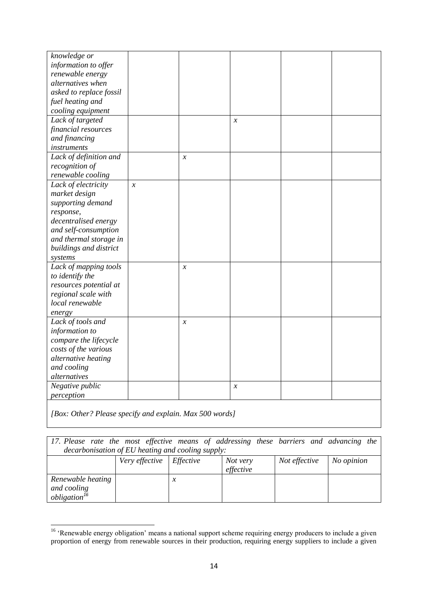| knowledge or                      |                            |                     |                     |  |
|-----------------------------------|----------------------------|---------------------|---------------------|--|
| information to offer              |                            |                     |                     |  |
| renewable energy                  |                            |                     |                     |  |
| alternatives when                 |                            |                     |                     |  |
| asked to replace fossil           |                            |                     |                     |  |
| fuel heating and                  |                            |                     |                     |  |
| cooling equipment                 |                            |                     |                     |  |
| Lack of targeted                  |                            |                     | $\mathcal{X}$       |  |
| financial resources               |                            |                     |                     |  |
| and financing                     |                            |                     |                     |  |
| instruments                       |                            |                     |                     |  |
| Lack of definition and            |                            | $\boldsymbol{\chi}$ |                     |  |
| recognition of                    |                            |                     |                     |  |
| renewable cooling                 |                            |                     |                     |  |
| Lack of electricity               | $\boldsymbol{\mathcal{X}}$ |                     |                     |  |
| market design                     |                            |                     |                     |  |
| supporting demand                 |                            |                     |                     |  |
|                                   |                            |                     |                     |  |
| response,<br>decentralised energy |                            |                     |                     |  |
|                                   |                            |                     |                     |  |
| and self-consumption              |                            |                     |                     |  |
| and thermal storage in            |                            |                     |                     |  |
| buildings and district            |                            |                     |                     |  |
| systems                           |                            |                     |                     |  |
| Lack of mapping tools             |                            | $\mathcal{X}$       |                     |  |
| to identify the                   |                            |                     |                     |  |
| resources potential at            |                            |                     |                     |  |
| regional scale with               |                            |                     |                     |  |
| local renewable                   |                            |                     |                     |  |
| energy                            |                            |                     |                     |  |
| Lack of tools and                 |                            | $\mathcal{X}$       |                     |  |
| information to                    |                            |                     |                     |  |
| compare the lifecycle             |                            |                     |                     |  |
| costs of the various              |                            |                     |                     |  |
| alternative heating               |                            |                     |                     |  |
| and cooling                       |                            |                     |                     |  |
| alternatives                      |                            |                     |                     |  |
| Negative public                   |                            |                     | $\boldsymbol{\chi}$ |  |
| perception                        |                            |                     |                     |  |
|                                   |                            |                     |                     |  |

*[Box: Other? Please specify and explain. Max 500 words]*

| 17. Please rate the most effective means of addressing these barriers and advancing the |                              |   |           |               |            |
|-----------------------------------------------------------------------------------------|------------------------------|---|-----------|---------------|------------|
| decarbonisation of EU heating and cooling supply:                                       |                              |   |           |               |            |
|                                                                                         | Very effective $E$ Effective |   | Not very  | Not effective | No opinion |
|                                                                                         |                              |   | effective |               |            |
| Renewable heating                                                                       |                              | х |           |               |            |
| and cooling                                                                             |                              |   |           |               |            |
| obligation <sup>16</sup>                                                                |                              |   |           |               |            |

<sup>1</sup> <sup>16</sup> 'Renewable energy obligation' means a national support scheme requiring energy producers to include a given proportion of energy from renewable sources in their production, requiring energy suppliers to include a given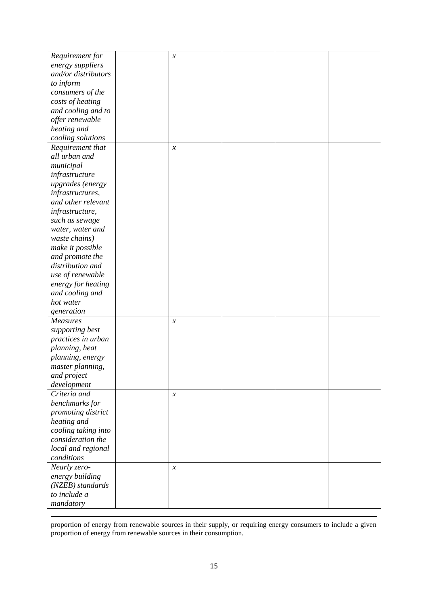| Requirement for     | $\boldsymbol{\mathcal{X}}$ |  |  |
|---------------------|----------------------------|--|--|
| energy suppliers    |                            |  |  |
| and/or distributors |                            |  |  |
| to inform           |                            |  |  |
|                     |                            |  |  |
| consumers of the    |                            |  |  |
| costs of heating    |                            |  |  |
| and cooling and to  |                            |  |  |
| offer renewable     |                            |  |  |
| heating and         |                            |  |  |
| cooling solutions   |                            |  |  |
| Requirement that    | $\boldsymbol{\mathcal{X}}$ |  |  |
| all urban and       |                            |  |  |
| municipal           |                            |  |  |
| infrastructure      |                            |  |  |
| upgrades (energy    |                            |  |  |
| infrastructures,    |                            |  |  |
| and other relevant  |                            |  |  |
| infrastructure,     |                            |  |  |
| such as sewage      |                            |  |  |
| water, water and    |                            |  |  |
| waste chains)       |                            |  |  |
| make it possible    |                            |  |  |
| and promote the     |                            |  |  |
| distribution and    |                            |  |  |
| use of renewable    |                            |  |  |
| energy for heating  |                            |  |  |
| and cooling and     |                            |  |  |
| hot water           |                            |  |  |
| generation          |                            |  |  |
| Measures            | $\boldsymbol{\chi}$        |  |  |
| supporting best     |                            |  |  |
| practices in urban  |                            |  |  |
| planning, heat      |                            |  |  |
| planning, energy    |                            |  |  |
| master planning,    |                            |  |  |
| and project         |                            |  |  |
|                     |                            |  |  |
| development         |                            |  |  |
| Criteria and        | $\boldsymbol{\mathcal{X}}$ |  |  |
| benchmarks for      |                            |  |  |
| promoting district  |                            |  |  |
| heating and         |                            |  |  |
| cooling taking into |                            |  |  |
| consideration the   |                            |  |  |
| local and regional  |                            |  |  |
| conditions          |                            |  |  |
| Nearly zero-        | $\boldsymbol{\chi}$        |  |  |
| energy building     |                            |  |  |
| (NZEB) standards    |                            |  |  |
| to include a        |                            |  |  |
| mandatory           |                            |  |  |

proportion of energy from renewable sources in their supply, or requiring energy consumers to include a given proportion of energy from renewable sources in their consumption.

 $\overline{a}$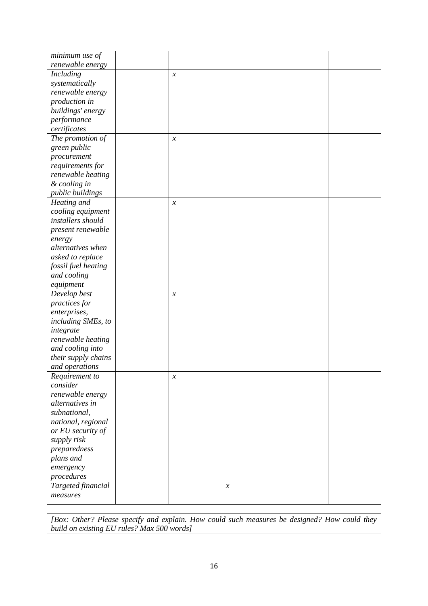| minimum use of      |                            |                            |  |
|---------------------|----------------------------|----------------------------|--|
| renewable energy    |                            |                            |  |
| Including           | $\mathcal{X}$              |                            |  |
| systematically      |                            |                            |  |
| renewable energy    |                            |                            |  |
| production in       |                            |                            |  |
| buildings' energy   |                            |                            |  |
| performance         |                            |                            |  |
| certificates        |                            |                            |  |
| The promotion of    | $\boldsymbol{\mathcal{X}}$ |                            |  |
| green public        |                            |                            |  |
| procurement         |                            |                            |  |
| requirements for    |                            |                            |  |
| renewable heating   |                            |                            |  |
| & cooling in        |                            |                            |  |
| public buildings    |                            |                            |  |
| Heating and         | $\mathcal{X}$              |                            |  |
| cooling equipment   |                            |                            |  |
| installers should   |                            |                            |  |
| present renewable   |                            |                            |  |
| energy              |                            |                            |  |
| alternatives when   |                            |                            |  |
| asked to replace    |                            |                            |  |
| fossil fuel heating |                            |                            |  |
| and cooling         |                            |                            |  |
| equipment           |                            |                            |  |
| Develop best        | $\boldsymbol{\mathcal{X}}$ |                            |  |
| practices for       |                            |                            |  |
| enterprises,        |                            |                            |  |
| including SMEs, to  |                            |                            |  |
| integrate           |                            |                            |  |
| renewable heating   |                            |                            |  |
| and cooling into    |                            |                            |  |
| their supply chains |                            |                            |  |
| and operations      |                            |                            |  |
| Requirement to      | $\boldsymbol{\chi}$        |                            |  |
| consider            |                            |                            |  |
| renewable energy    |                            |                            |  |
| alternatives in     |                            |                            |  |
| subnational,        |                            |                            |  |
| national, regional  |                            |                            |  |
| or EU security of   |                            |                            |  |
| supply risk         |                            |                            |  |
| preparedness        |                            |                            |  |
| plans and           |                            |                            |  |
| emergency           |                            |                            |  |
| procedures          |                            |                            |  |
| Targeted financial  |                            |                            |  |
| measures            |                            | $\boldsymbol{\mathcal{X}}$ |  |
|                     |                            |                            |  |

*[Box: Other? Please specify and explain. How could such measures be designed? How could they build on existing EU rules? Max 500 words]*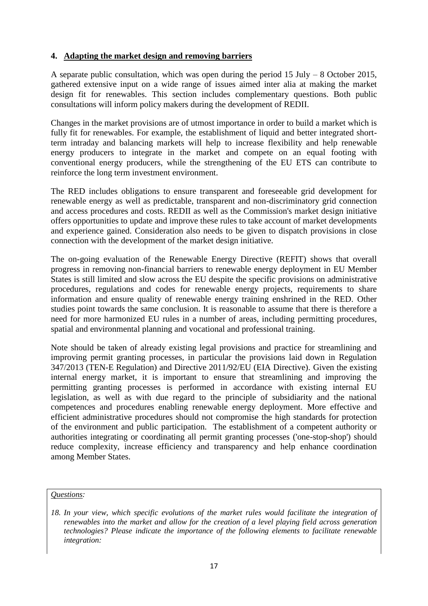## **4. Adapting the market design and removing barriers**

A separate public consultation, which was open during the period 15 July – 8 October 2015, gathered extensive input on a wide range of issues aimed inter alia at making the market design fit for renewables. This section includes complementary questions. Both public consultations will inform policy makers during the development of REDII.

Changes in the market provisions are of utmost importance in order to build a market which is fully fit for renewables. For example, the establishment of liquid and better integrated shortterm intraday and balancing markets will help to increase flexibility and help renewable energy producers to integrate in the market and compete on an equal footing with conventional energy producers, while the strengthening of the EU ETS can contribute to reinforce the long term investment environment.

The RED includes obligations to ensure transparent and foreseeable grid development for renewable energy as well as predictable, transparent and non-discriminatory grid connection and access procedures and costs. REDII as well as the Commission's market design initiative offers opportunities to update and improve these rules to take account of market developments and experience gained. Consideration also needs to be given to dispatch provisions in close connection with the development of the market design initiative.

The on-going evaluation of the Renewable Energy Directive (REFIT) shows that overall progress in removing non-financial barriers to renewable energy deployment in EU Member States is still limited and slow across the EU despite the specific provisions on administrative procedures, regulations and codes for renewable energy projects, requirements to share information and ensure quality of renewable energy training enshrined in the RED. Other studies point towards the same conclusion. It is reasonable to assume that there is therefore a need for more harmonized EU rules in a number of areas, including permitting procedures, spatial and environmental planning and vocational and professional training.

Note should be taken of already existing legal provisions and practice for streamlining and improving permit granting processes, in particular the provisions laid down in Regulation 347/2013 (TEN-E Regulation) and Directive 2011/92/EU (EIA Directive). Given the existing internal energy market, it is important to ensure that streamlining and improving the permitting granting processes is performed in accordance with existing internal EU legislation, as well as with due regard to the principle of subsidiarity and the national competences and procedures enabling renewable energy deployment. More effective and efficient administrative procedures should not compromise the high standards for protection of the environment and public participation. The establishment of a competent authority or authorities integrating or coordinating all permit granting processes ('one-stop-shop') should reduce complexity, increase efficiency and transparency and help enhance coordination among Member States.

*Questions:*

*<sup>18.</sup> In your view, which specific evolutions of the market rules would facilitate the integration of renewables into the market and allow for the creation of a level playing field across generation technologies? Please indicate the importance of the following elements to facilitate renewable integration:*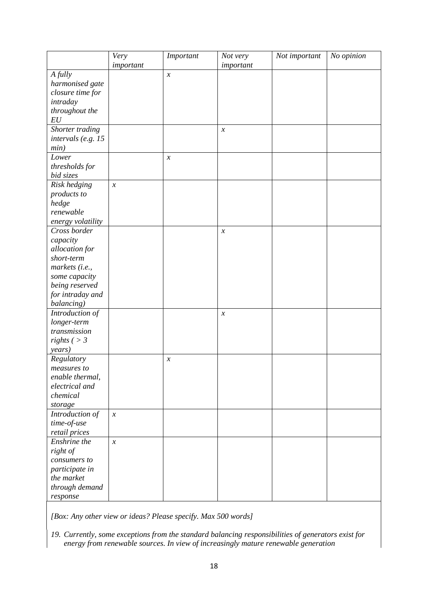|                      | Very                       | Important           | Not very                   | Not important | No opinion |
|----------------------|----------------------------|---------------------|----------------------------|---------------|------------|
|                      | important                  |                     | important                  |               |            |
| A fully              |                            | $\boldsymbol{\chi}$ |                            |               |            |
| harmonised gate      |                            |                     |                            |               |            |
| closure time for     |                            |                     |                            |               |            |
| intraday             |                            |                     |                            |               |            |
| throughout the       |                            |                     |                            |               |            |
| EU                   |                            |                     |                            |               |            |
| Shorter trading      |                            |                     | $\boldsymbol{\chi}$        |               |            |
| intervals (e.g. $15$ |                            |                     |                            |               |            |
| min)                 |                            |                     |                            |               |            |
| Lower                |                            | $\boldsymbol{\chi}$ |                            |               |            |
| thresholds for       |                            |                     |                            |               |            |
| bid sizes            |                            |                     |                            |               |            |
| Risk hedging         | $\boldsymbol{\mathcal{X}}$ |                     |                            |               |            |
| products to          |                            |                     |                            |               |            |
| hedge                |                            |                     |                            |               |            |
| renewable            |                            |                     |                            |               |            |
| energy volatility    |                            |                     |                            |               |            |
| Cross border         |                            |                     | $\boldsymbol{\mathcal{X}}$ |               |            |
| capacity             |                            |                     |                            |               |            |
| allocation for       |                            |                     |                            |               |            |
| short-term           |                            |                     |                            |               |            |
| markets (i.e.,       |                            |                     |                            |               |            |
| some capacity        |                            |                     |                            |               |            |
| being reserved       |                            |                     |                            |               |            |
| for intraday and     |                            |                     |                            |               |            |
| balancing)           |                            |                     |                            |               |            |
| Introduction of      |                            |                     | $\boldsymbol{\mathcal{X}}$ |               |            |
| longer-term          |                            |                     |                            |               |            |
| transmission         |                            |                     |                            |               |            |
| rights ( $>$ 3       |                            |                     |                            |               |            |
| years)               |                            |                     |                            |               |            |
| Regulatory           |                            | $\boldsymbol{x}$    |                            |               |            |
| measures to          |                            |                     |                            |               |            |
| enable thermal,      |                            |                     |                            |               |            |
| electrical and       |                            |                     |                            |               |            |
| chemical             |                            |                     |                            |               |            |
| storage              |                            |                     |                            |               |            |
| Introduction of      | $\boldsymbol{\mathcal{X}}$ |                     |                            |               |            |
| time-of-use          |                            |                     |                            |               |            |
| retail prices        |                            |                     |                            |               |            |
| Enshrine the         | $\boldsymbol{\mathcal{X}}$ |                     |                            |               |            |
| right of             |                            |                     |                            |               |            |
| consumers to         |                            |                     |                            |               |            |
| participate in       |                            |                     |                            |               |            |
| the market           |                            |                     |                            |               |            |
| through demand       |                            |                     |                            |               |            |
| response             |                            |                     |                            |               |            |

*[Box: Any other view or ideas? Please specify. Max 500 words]*

*19. Currently, some exceptions from the standard balancing responsibilities of generators exist for energy from renewable sources. In view of increasingly mature renewable generation*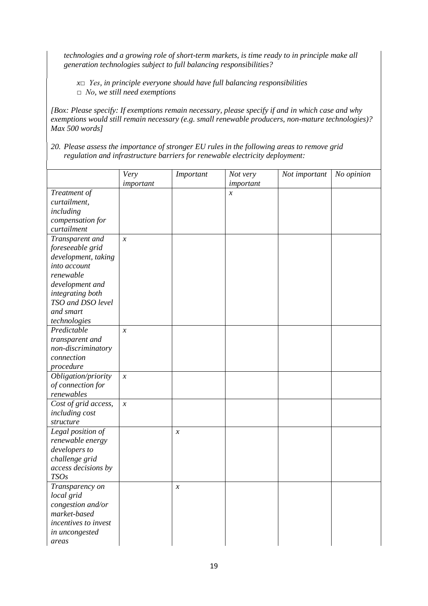*technologies and a growing role of short-term markets, is time ready to in principle make all generation technologies subject to full balancing responsibilities?* 

*x□ Yes, in principle everyone should have full balancing responsibilities □ No, we still need exemptions*

*[Box: Please specify: If exemptions remain necessary, please specify if and in which case and why exemptions would still remain necessary (e.g. small renewable producers, non-mature technologies)? Max 500 words]*

*20. Please assess the importance of stronger EU rules in the following areas to remove grid regulation and infrastructure barriers for renewable electricity deployment:*

|                       | Very                       | Important                  | Not very         | Not important | No opinion |
|-----------------------|----------------------------|----------------------------|------------------|---------------|------------|
|                       | important                  |                            | important        |               |            |
| Treatment of          |                            |                            | $\boldsymbol{x}$ |               |            |
| curtailment,          |                            |                            |                  |               |            |
|                       |                            |                            |                  |               |            |
| including             |                            |                            |                  |               |            |
| compensation for      |                            |                            |                  |               |            |
| curtailment           |                            |                            |                  |               |            |
| Transparent and       | $\boldsymbol{\chi}$        |                            |                  |               |            |
| foreseeable grid      |                            |                            |                  |               |            |
| development, taking   |                            |                            |                  |               |            |
| into account          |                            |                            |                  |               |            |
| renewable             |                            |                            |                  |               |            |
| development and       |                            |                            |                  |               |            |
| integrating both      |                            |                            |                  |               |            |
| TSO and DSO level     |                            |                            |                  |               |            |
| and smart             |                            |                            |                  |               |            |
| technologies          |                            |                            |                  |               |            |
| Predictable           | $\boldsymbol{\chi}$        |                            |                  |               |            |
| transparent and       |                            |                            |                  |               |            |
| non-discriminatory    |                            |                            |                  |               |            |
| connection            |                            |                            |                  |               |            |
| procedure             |                            |                            |                  |               |            |
| Obligation/priority   | $\boldsymbol{\mathcal{X}}$ |                            |                  |               |            |
| of connection for     |                            |                            |                  |               |            |
| renewables            |                            |                            |                  |               |            |
| Cost of grid access,  | $\mathcal{X}$              |                            |                  |               |            |
| <i>including cost</i> |                            |                            |                  |               |            |
| structure             |                            |                            |                  |               |            |
| Legal position of     |                            | $\boldsymbol{\mathcal{X}}$ |                  |               |            |
| renewable energy      |                            |                            |                  |               |            |
| developers to         |                            |                            |                  |               |            |
| challenge grid        |                            |                            |                  |               |            |
| access decisions by   |                            |                            |                  |               |            |
| TSOs                  |                            |                            |                  |               |            |
| Transparency on       |                            | $\mathcal{X}$              |                  |               |            |
| local grid            |                            |                            |                  |               |            |
| congestion and/or     |                            |                            |                  |               |            |
| market-based          |                            |                            |                  |               |            |
| incentives to invest  |                            |                            |                  |               |            |
|                       |                            |                            |                  |               |            |
| in uncongested        |                            |                            |                  |               |            |
| areas                 |                            |                            |                  |               |            |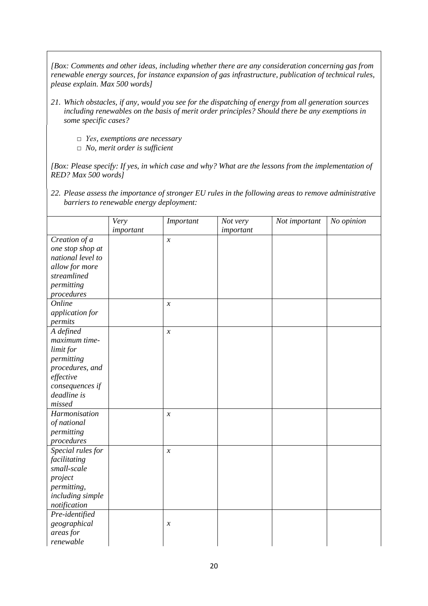*[Box: Comments and other ideas, including whether there are any consideration concerning gas from renewable energy sources, for instance expansion of gas infrastructure, publication of technical rules, please explain. Max 500 words]*

- *21. Which obstacles, if any, would you see for the dispatching of energy from all generation sources including renewables on the basis of merit order principles? Should there be any exemptions in some specific cases?* 
	- *□ Yes, exemptions are necessary*
	- *□ No, merit order is sufficient*

*[Box: Please specify: If yes, in which case and why? What are the lessons from the implementation of RED? Max 500 words]*

*22. Please assess the importance of stronger EU rules in the following areas to remove administrative barriers to renewable energy deployment:*

|                   | Very      | Important                  | Not very  | Not important | No opinion |
|-------------------|-----------|----------------------------|-----------|---------------|------------|
|                   | important |                            | important |               |            |
| Creation of a     |           | $\boldsymbol{\mathcal{X}}$ |           |               |            |
| one stop shop at  |           |                            |           |               |            |
| national level to |           |                            |           |               |            |
| allow for more    |           |                            |           |               |            |
| streamlined       |           |                            |           |               |            |
| permitting        |           |                            |           |               |            |
| procedures        |           |                            |           |               |            |
| Online            |           | $\boldsymbol{x}$           |           |               |            |
| application for   |           |                            |           |               |            |
| permits           |           |                            |           |               |            |
| A defined         |           | $\boldsymbol{x}$           |           |               |            |
| maximum time-     |           |                            |           |               |            |
| limit for         |           |                            |           |               |            |
| permitting        |           |                            |           |               |            |
| procedures, and   |           |                            |           |               |            |
| effective         |           |                            |           |               |            |
| consequences if   |           |                            |           |               |            |
| deadline is       |           |                            |           |               |            |
| missed            |           |                            |           |               |            |
| Harmonisation     |           | $\boldsymbol{\mathcal{X}}$ |           |               |            |
| of national       |           |                            |           |               |            |
| permitting        |           |                            |           |               |            |
| procedures        |           |                            |           |               |            |
| Special rules for |           | $\boldsymbol{\mathcal{X}}$ |           |               |            |
| facilitating      |           |                            |           |               |            |
| small-scale       |           |                            |           |               |            |
| project           |           |                            |           |               |            |
| permitting,       |           |                            |           |               |            |
| including simple  |           |                            |           |               |            |
| notification      |           |                            |           |               |            |
| Pre-identified    |           |                            |           |               |            |
| geographical      |           | $\mathcal{X}$              |           |               |            |
| areas for         |           |                            |           |               |            |
| renewable         |           |                            |           |               |            |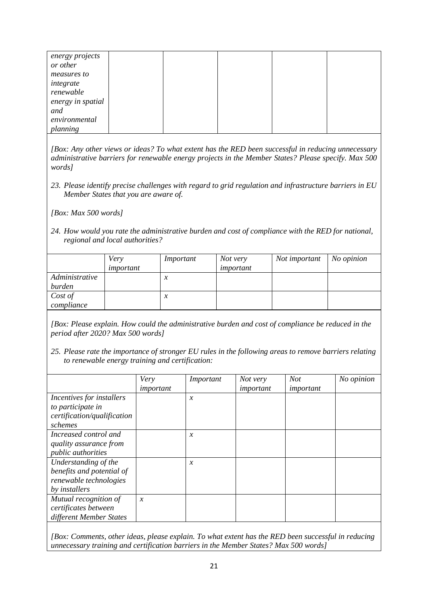| energy projects   |  |  |  |
|-------------------|--|--|--|
| or other          |  |  |  |
| measures to       |  |  |  |
| integrate         |  |  |  |
| renewable         |  |  |  |
| energy in spatial |  |  |  |
| and               |  |  |  |
| environmental     |  |  |  |
| planning          |  |  |  |

*[Box: Any other views or ideas? To what extent has the RED been successful in reducing unnecessary administrative barriers for renewable energy projects in the Member States? Please specify. Max 500 words]*

*23. Please identify precise challenges with regard to grid regulation and infrastructure barriers in EU Member States that you are aware of.* 

*[Box: Max 500 words]*

*24. How would you rate the administrative burden and cost of compliance with the RED for national, regional and local authorities?*

|                          | Very<br>important | Important                  | Not very<br>important | Not important | No opinion |
|--------------------------|-------------------|----------------------------|-----------------------|---------------|------------|
| Administrative<br>burden |                   | $\mathcal{X}$              |                       |               |            |
| Cost of<br>compliance    |                   | $\boldsymbol{\mathcal{X}}$ |                       |               |            |

*[Box: Please explain. How could the administrative burden and cost of compliance be reduced in the period after 2020? Max 500 words]*

*25. Please rate the importance of stronger EU rules in the following areas to remove barriers relating to renewable energy training and certification:*

|                             | Very          | Important     | Not very  | Not       | No opinion |
|-----------------------------|---------------|---------------|-----------|-----------|------------|
|                             | important     |               | important | important |            |
| Incentives for installers   |               | $\mathcal{X}$ |           |           |            |
| to participate in           |               |               |           |           |            |
| certification/qualification |               |               |           |           |            |
| schemes                     |               |               |           |           |            |
| Increased control and       |               | $\mathcal{X}$ |           |           |            |
| quality assurance from      |               |               |           |           |            |
| <i>public authorities</i>   |               |               |           |           |            |
| Understanding of the        |               | $\mathcal{X}$ |           |           |            |
| benefits and potential of   |               |               |           |           |            |
| renewable technologies      |               |               |           |           |            |
| by installers               |               |               |           |           |            |
| Mutual recognition of       | $\mathcal{X}$ |               |           |           |            |
| certificates between        |               |               |           |           |            |
| different Member States     |               |               |           |           |            |
|                             |               |               |           |           |            |

*[Box: Comments, other ideas, please explain. To what extent has the RED been successful in reducing unnecessary training and certification barriers in the Member States? Max 500 words]*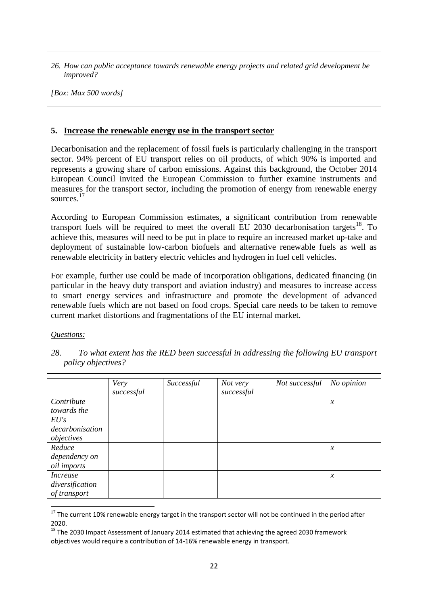*26. How can public acceptance towards renewable energy projects and related grid development be improved?*

*[Box: Max 500 words]*

#### **5. Increase the renewable energy use in the transport sector**

Decarbonisation and the replacement of fossil fuels is particularly challenging in the transport sector. 94% percent of EU transport relies on oil products, of which 90% is imported and represents a growing share of carbon emissions. Against this background, the October 2014 European Council invited the European Commission to further examine instruments and measures for the transport sector, including the promotion of energy from renewable energy sources.<sup>17</sup>

According to European Commission estimates, a significant contribution from renewable transport fuels will be required to meet the overall  $\text{EU } 2030$  decarbonisation targets<sup>18</sup>. To achieve this, measures will need to be put in place to require an increased market up-take and deployment of sustainable low-carbon biofuels and alternative renewable fuels as well as renewable electricity in battery electric vehicles and hydrogen in fuel cell vehicles.

For example, further use could be made of incorporation obligations, dedicated financing (in particular in the heavy duty transport and aviation industry) and measures to increase access to smart energy services and infrastructure and promote the development of advanced renewable fuels which are not based on food crops. Special care needs to be taken to remove current market distortions and fragmentations of the EU internal market.

*Questions:*

 $\overline{a}$ 

*28. To what extent has the RED been successful in addressing the following EU transport policy objectives?*

|                    | Very       | Successful | Not very   | Not successful | No opinion          |
|--------------------|------------|------------|------------|----------------|---------------------|
|                    | successful |            | successful |                |                     |
| Contribute         |            |            |            |                | $\boldsymbol{\chi}$ |
| towards the        |            |            |            |                |                     |
| EU's               |            |            |            |                |                     |
| decarbonisation    |            |            |            |                |                     |
| objectives         |            |            |            |                |                     |
| Reduce             |            |            |            |                | $\mathcal{X}$       |
| dependency on      |            |            |            |                |                     |
| <i>oil</i> imports |            |            |            |                |                     |
| <i>Increase</i>    |            |            |            |                | $\boldsymbol{\chi}$ |
| diversification    |            |            |            |                |                     |
| of transport       |            |            |            |                |                     |

 $17$  The current 10% renewable energy target in the transport sector will not be continued in the period after 2020.

 $^{18}$  The 2030 Impact Assessment of January 2014 estimated that achieving the agreed 2030 framework objectives would require a contribution of 14-16% renewable energy in transport.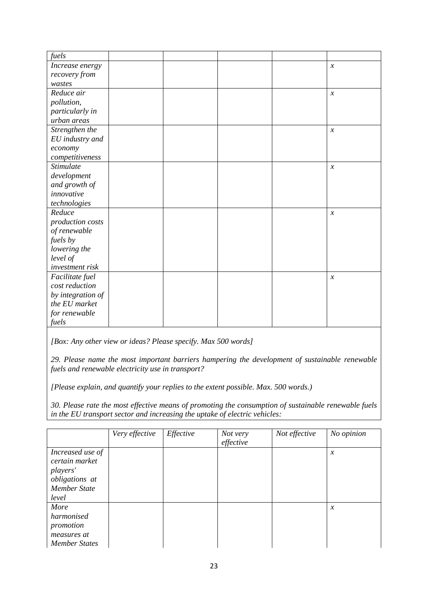| fuels             |  |  |                            |
|-------------------|--|--|----------------------------|
| Increase energy   |  |  | $\mathcal{X}$              |
| recovery from     |  |  |                            |
| wastes            |  |  |                            |
| Reduce air        |  |  | $\mathcal{X}$              |
| pollution,        |  |  |                            |
| particularly in   |  |  |                            |
| urban areas       |  |  |                            |
| Strengthen the    |  |  | $\mathcal{X}$              |
| EU industry and   |  |  |                            |
| economy           |  |  |                            |
| competitiveness   |  |  |                            |
| <b>Stimulate</b>  |  |  | $\boldsymbol{\mathcal{X}}$ |
| development       |  |  |                            |
| and growth of     |  |  |                            |
| innovative        |  |  |                            |
| technologies      |  |  |                            |
| Reduce            |  |  | $\mathcal{X}$              |
| production costs  |  |  |                            |
| of renewable      |  |  |                            |
| fuels by          |  |  |                            |
| lowering the      |  |  |                            |
| level of          |  |  |                            |
| investment risk   |  |  |                            |
| Facilitate fuel   |  |  | $\boldsymbol{\mathcal{X}}$ |
| cost reduction    |  |  |                            |
| by integration of |  |  |                            |
| the EU market     |  |  |                            |
| for renewable     |  |  |                            |
| fuels             |  |  |                            |

*[Box: Any other view or ideas? Please specify. Max 500 words]*

*29. Please name the most important barriers hampering the development of sustainable renewable fuels and renewable electricity use in transport?* 

*[Please explain, and quantify your replies to the extent possible. Max. 500 words.)*

*30. Please rate the most effective means of promoting the consumption of sustainable renewable fuels in the EU transport sector and increasing the uptake of electric vehicles:*

|                                                                                                  | Very effective | Effective | Not very<br>effective | Not effective | No opinion          |
|--------------------------------------------------------------------------------------------------|----------------|-----------|-----------------------|---------------|---------------------|
| Increased use of<br>certain market<br>players'<br>obligations at<br><b>Member State</b><br>level |                |           |                       |               | $\boldsymbol{\chi}$ |
| More<br>harmonised<br>promotion<br>measures at<br><b>Member States</b>                           |                |           |                       |               | $\mathcal{X}$       |